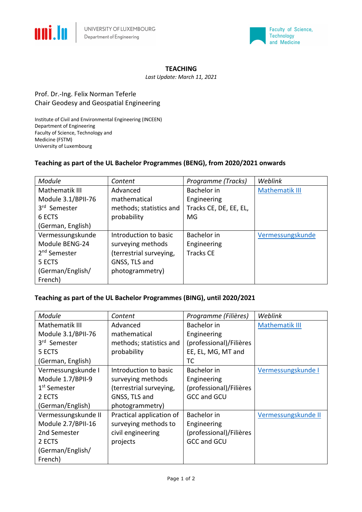



#### **TEACHING**

*Last Update: March 11, 2021*

## Prof. Dr.-Ing. Felix Norman Teferle Chair Geodesy and Geospatial Engineering

Institute of Civil and Environmental Engineering (INCEEN) Department of Engineering Faculty of Science, Technology and Medicine (FSTM) University of Luxembourg

### **Teaching as part of the UL Bachelor Programmes (BENG), from 2020/2021 onwards**

| <b>Module</b>            | Content                 | Programme (Tracks)     | Weblink               |
|--------------------------|-------------------------|------------------------|-----------------------|
| Mathematik III           | Advanced                | Bachelor in            | <b>Mathematik III</b> |
| Module 3.1/BPII-76       | mathematical            | Engineering            |                       |
| 3rd Semester             | methods; statistics and | Tracks CE, DE, EE, EL, |                       |
| 6 ECTS                   | probability             | MG                     |                       |
| (German, English)        |                         |                        |                       |
| Vermessungskunde         | Introduction to basic   | Bachelor in            | Vermessungskunde      |
| Module BENG-24           | surveying methods       | Engineering            |                       |
| 2 <sup>nd</sup> Semester | (terrestrial surveying, | <b>Tracks CE</b>       |                       |
| 5 ECTS                   | GNSS, TLS and           |                        |                       |
| (German/English/         | photogrammetry)         |                        |                       |
| French)                  |                         |                        |                       |

### **Teaching as part of the UL Bachelor Programmes (BING), until 2020/2021**

| Module                   | Content                  | Programme (Filières)    | Weblink             |
|--------------------------|--------------------------|-------------------------|---------------------|
| Mathematik III           | Advanced                 | Bachelor in             | Mathematik III      |
| Module 3.1/BPII-76       | mathematical             | Engineering             |                     |
| 3rd Semester             | methods; statistics and  | (professional)/Filières |                     |
| 5 ECTS                   | probability              | EE, EL, MG, MT and      |                     |
| (German, English)        |                          | ТC                      |                     |
| Vermessungskunde I       | Introduction to basic    | Bachelor in             | Vermessungskunde I  |
| Module 1.7/BPII-9        | surveying methods        | Engineering             |                     |
| 1 <sup>st</sup> Semester | (terrestrial surveying,  | (professional)/Filières |                     |
| 2 ECTS                   | GNSS, TLS and            | <b>GCC and GCU</b>      |                     |
| (German/English)         | photogrammetry)          |                         |                     |
| Vermessungskunde II      | Practical application of | <b>Bachelor</b> in      | Vermessungskunde II |
| Module 2.7/BPII-16       | surveying methods to     | Engineering             |                     |
| 2nd Semester             | civil engineering        | (professional)/Filières |                     |
| 2 ECTS                   | projects                 | <b>GCC and GCU</b>      |                     |
| (German/English/         |                          |                         |                     |
| French)                  |                          |                         |                     |